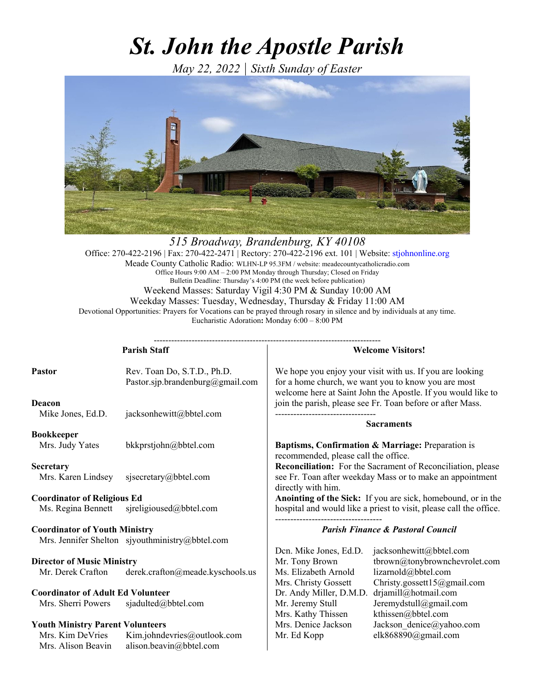# *St. John the Apostle Parish*

*May 22, 2022 | Sixth Sunday of Easter*



*515 Broadway, Brandenburg, KY 40108*  Office: 270-422-2196 | Fax: 270-422-2471 | Rectory: 270-422-2196 ext. 101 | Website: stjohnonline.org Meade County Catholic Radio: WLHN-LP 95.3FM / website: meadecountycatholicradio.com Office Hours 9:00 AM – 2:00 PM Monday through Thursday; Closed on Friday Bulletin Deadline: Thursday's 4:00 PM (the week before publication) Weekend Masses: Saturday Vigil 4:30 PM & Sunday 10:00 AM Weekday Masses: Tuesday, Wednesday, Thursday & Friday 11:00 AM Devotional Opportunities: Prayers for Vocations can be prayed through rosary in silence and by individuals at any time. Eucharistic Adoration**:** Monday 6:00 – 8:00 PM

------------------------------------------------------------------------------

**Parish Staff**  Pastor Rev. Toan Do, S.T.D., Ph.D. Pastor.sjp.brandenburg@gmail.com **Deacon** Mike Jones, Ed.D. jacksonhewitt@bbtel.com **Bookkeeper** Mrs. Judy Yates bkkprstjohn@bbtel.com **Secretary** Mrs. Karen Lindsey sjsecretary@bbtel.com **Coordinator of Religious Ed**  Ms. Regina Bennett sjreligioused@bbtel.com **Coordinator of Youth Ministry**  Mrs. Jennifer Shelton sjyouthministry@bbtel.com **Director of Music Ministry** Mr. Derek Crafton derek.crafton@meade.kyschools.us **Coordinator of Adult Ed Volunteer** Mrs. Sherri Powers sjadulted@bbtel.com **Youth Ministry Parent Volunteers**  Mrs. Kim DeVries Kim.johndevries@outlook.com Mrs. Alison Beavin alison.beavin@bbtel.com **Welcome Visitors!**  We hope you enjoy your visit with us. If you are looking for a home church, we want you to know you are most welcome here at Saint John the Apostle. If you would like to join the parish, please see Fr. Toan before or after Mass. --------------------------------- **Sacraments Baptisms, Confirmation & Marriage:** Preparation is recommended, please call the office. **Reconciliation:** For the Sacrament of Reconciliation, please see Fr. Toan after weekday Mass or to make an appointment directly with him. **Anointing of the Sick:** If you are sick, homebound, or in the hospital and would like a priest to visit, please call the office. ----------------------------------- *Parish Finance & Pastoral Council*  Dcn. Mike Jones, Ed.D. jacksonhewitt@bbtel.com Mr. Tony Brown tbrown@tonybrownchevrolet.com Ms. Elizabeth Arnold lizarnold@bbtel.com Mrs. Christy Gossett Christy.gossett15@gmail.com Dr. Andy Miller, D.M.D. drjamill@hotmail.com Mr. Jeremy Stull Jeremydstull@gmail.com Mrs. Kathy Thissen kthissen@bbtel.com Mrs. Denice Jackson Jackson denice@yahoo.com Mr. Ed Kopp elk868890@gmail.com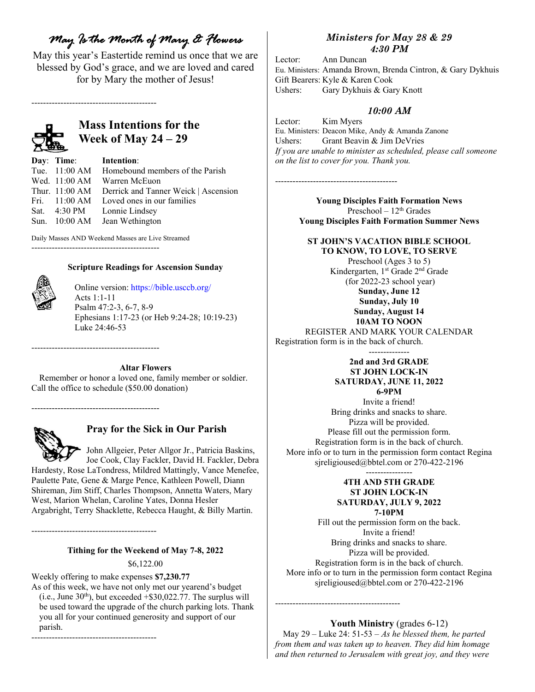## *May Is the Month of Mary & Flowers*

May this year's Eastertide remind us once that we are blessed by God's grace, and we are loved and cared for by Mary the mother of Jesus!

-------------------------------------------



## **Mass Intentions for the Week of May 24 – 29**

**Day**: **Time**: **Intention**: Tue. 11:00 AM Homebound members of the Parish Wed. 11:00 AM Warren McEuon Thur. 11:00 AM Derrick and Tanner Weick | Ascension Fri. 11:00 AM Loved ones in our families Sat. 4:30 PM Lonnie Lindsey Sun. 10:00 AM Jean Wethington

Daily Masses AND Weekend Masses are Live Streamed

--------------------------------------------

#### **Scripture Readings for Ascension Sunday**



Online version: https://bible.usccb.org/ Acts 1:1-11 Psalm 47:2-3, 6-7, 8-9 Ephesians 1:17-23 (or Heb 9:24-28; 10:19-23) Luke 24:46-53

**Altar Flowers** 

Remember or honor a loved one, family member or soldier. Call the office to schedule (\$50.00 donation)

--------------------------------------------

--------------------------------------------



#### **Pray for the Sick in Our Parish**

 John Allgeier, Peter Allgor Jr., Patricia Baskins, Joe Cook, Clay Fackler, David H. Fackler, Debra Hardesty, Rose LaTondress, Mildred Mattingly, Vance Menefee, Paulette Pate, Gene & Marge Pence, Kathleen Powell, Diann Shireman, Jim Stiff, Charles Thompson, Annetta Waters, Mary West, Marion Whelan, Caroline Yates, Donna Hesler Argabright, Terry Shacklette, Rebecca Haught, & Billy Martin.

-------------------------------------------

-------------------------------------------

#### **Tithing for the Weekend of May 7-8, 2022**

\$6,122.00

Weekly offering to make expenses **\$7,230.77** 

As of this week, we have not only met our yearend's budget (i.e., June  $30<sup>th</sup>$ ), but exceeded +\$30,022.77. The surplus will be used toward the upgrade of the church parking lots. Thank you all for your continued generosity and support of our parish.

*Ministers for May 28 & 29 4:30 PM*

Lector: Ann Duncan Eu. Ministers: Amanda Brown, Brenda Cintron, & Gary Dykhuis Gift Bearers: Kyle & Karen Cook Ushers: Gary Dykhuis & Gary Knott

#### *10:00 AM*

Lector: Kim Myers Eu. Ministers: Deacon Mike, Andy & Amanda Zanone Ushers: Grant Beavin & Jim DeVries *If you are unable to minister as scheduled, please call someone on the list to cover for you. Thank you.*

------------------------------------------

**Young Disciples Faith Formation News**  Preschool –  $12<sup>th</sup>$  Grades **Young Disciples Faith Formation Summer News** 

## **ST JOHN'S VACATION BIBLE SCHOOL**

**TO KNOW, TO LOVE, TO SERVE**  Preschool (Ages 3 to 5) Kindergarten, 1<sup>st</sup> Grade 2<sup>nd</sup> Grade (for 2022-23 school year) **Sunday, June 12 Sunday, July 10 Sunday, August 14 10AM TO NOON**  REGISTER AND MARK YOUR CALENDAR Registration form is in the back of church. --------------

#### **2nd and 3rd GRADE ST JOHN LOCK-IN SATURDAY, JUNE 11, 2022 6-9PM**

Invite a friend! Bring drinks and snacks to share. Pizza will be provided. Please fill out the permission form. Registration form is in the back of church. More info or to turn in the permission form contact Regina sjreligioused@bbtel.com or 270-422-2196

----------------

#### **4TH AND 5TH GRADE ST JOHN LOCK-IN SATURDAY, JULY 9, 2022 7-10PM**

Fill out the permission form on the back. Invite a friend! Bring drinks and snacks to share. Pizza will be provided. Registration form is in the back of church. More info or to turn in the permission form contact Regina sjreligioused@bbtel.com or 270-422-2196

#### **Youth Ministry** (grades 6-12)

May 29 – Luke 24: 51-53 – *As he blessed them, he parted from them and was taken up to heaven. They did him homage and then returned to Jerusalem with great joy, and they were* 

-------------------------------------------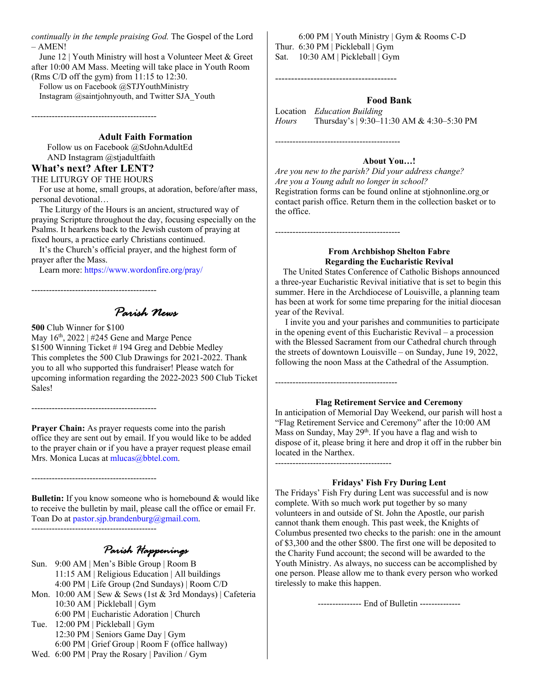*continually in the temple praising God.* The Gospel of the Lord – AMEN!

June 12 | Youth Ministry will host a Volunteer Meet & Greet after 10:00 AM Mass. Meeting will take place in Youth Room (Rms C/D off the gym) from 11:15 to 12:30.

Follow us on Facebook @STJYouthMinistry Instagram @saintjohnyouth, and Twitter SJA\_Youth

-------------------------------------------

**Adult Faith Formation** 

Follow us on Facebook @StJohnAdultEd AND Instagram @stjadultfaith

### **What's next? After LENT?**

#### THE LITURGY OF THE HOURS

For use at home, small groups, at adoration, before/after mass, personal devotional…

The Liturgy of the Hours is an ancient, structured way of praying Scripture throughout the day, focusing especially on the Psalms. It hearkens back to the Jewish custom of praying at fixed hours, a practice early Christians continued.

It's the Church's official prayer, and the highest form of prayer after the Mass.

Learn more: https://www.wordonfire.org/pray/

*Parish News* 

#### **500** Club Winner for \$100

-------------------------------------------

-------------------------------------------

-------------------------------------------

May  $16^{th}$ , 2022 | #245 Gene and Marge Pence \$1500 Winning Ticket # 194 Greg and Debbie Medley This completes the 500 Club Drawings for 2021-2022. Thank you to all who supported this fundraiser! Please watch for upcoming information regarding the 2022-2023 500 Club Ticket Sales!

**Prayer Chain:** As prayer requests come into the parish office they are sent out by email. If you would like to be added to the prayer chain or if you have a prayer request please email Mrs. Monica Lucas at mlucas@bbtel.com.

**Bulletin:** If you know someone who is homebound & would like to receive the bulletin by mail, please call the office or email Fr. Toan Do at pastor.sjp.brandenburg@gmail.com.

-------------------------------------------

*Parish Happenings* 

Sun. 9:00 AM | Men's Bible Group | Room B 11:15 AM | Religious Education | All buildings 4:00 PM | Life Group (2nd Sundays) | Room C/D Mon. 10:00 AM | Sew & Sews (1st & 3rd Mondays) | Cafeteria 10:30 AM | Pickleball | Gym 6:00 PM | Eucharistic Adoration | Church Tue. 12:00 PM | Pickleball | Gym 12:30 PM | Seniors Game Day | Gym 6:00 PM | Grief Group | Room F (office hallway) Wed. 6:00 PM | Pray the Rosary | Pavilion / Gym

 6:00 PM | Youth Ministry | Gym & Rooms C-D Thur. 6:30 PM | Pickleball | Gym Sat. 10:30 AM | Pickleball | Gym

#### **Food Bank**

Location *Education Building Hours* Thursday's | 9:30–11:30 AM & 4:30–5:30 PM

-------------------------------------------

-------------------------------------------

------------------------------------------

----------------------------------------

--------------------------------------

#### **About You…!**

*Are you new to the parish? Did your address change? Are you a Young adult no longer in school?* Registration forms can be found online at stjohnonline.org or contact parish office. Return them in the collection basket or to the office.

#### **From Archbishop Shelton Fabre Regarding the Eucharistic Revival**

The United States Conference of Catholic Bishops announced a three-year Eucharistic Revival initiative that is set to begin this summer. Here in the Archdiocese of Louisville, a planning team has been at work for some time preparing for the initial diocesan year of the Revival.

 I invite you and your parishes and communities to participate in the opening event of this Eucharistic Revival – a procession with the Blessed Sacrament from our Cathedral church through the streets of downtown Louisville – on Sunday, June 19, 2022, following the noon Mass at the Cathedral of the Assumption.

#### **Flag Retirement Service and Ceremony**

In anticipation of Memorial Day Weekend, our parish will host a "Flag Retirement Service and Ceremony" after the 10:00 AM Mass on Sunday, May 29<sup>th</sup>. If you have a flag and wish to dispose of it, please bring it here and drop it off in the rubber bin located in the Narthex.

#### **Fridays' Fish Fry During Lent**

The Fridays' Fish Fry during Lent was successful and is now complete. With so much work put together by so many volunteers in and outside of St. John the Apostle, our parish cannot thank them enough. This past week, the Knights of Columbus presented two checks to the parish: one in the amount of \$3,300 and the other \$800. The first one will be deposited to the Charity Fund account; the second will be awarded to the Youth Ministry. As always, no success can be accomplished by one person. Please allow me to thank every person who worked tirelessly to make this happen.

--------------- End of Bulletin --------------